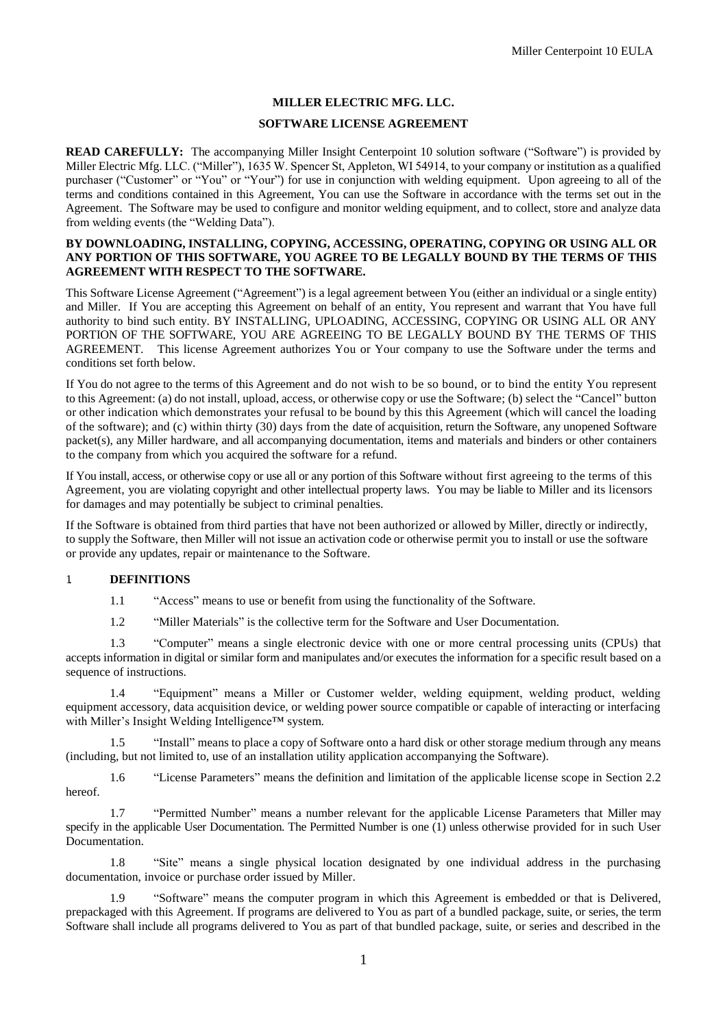### **MILLER ELECTRIC MFG. LLC.**

#### **SOFTWARE LICENSE AGREEMENT**

**READ CAREFULLY:** The accompanying Miller Insight Centerpoint 10 solution software ("Software") is provided by Miller Electric Mfg. LLC. ("Miller"), 1635 W. Spencer St, Appleton, WI 54914, to your company or institution as a qualified purchaser ("Customer" or "You" or "Your") for use in conjunction with welding equipment. Upon agreeing to all of the terms and conditions contained in this Agreement, You can use the Software in accordance with the terms set out in the Agreement. The Software may be used to configure and monitor welding equipment, and to collect, store and analyze data from welding events (the "Welding Data").

#### **BY DOWNLOADING, INSTALLING, COPYING, ACCESSING, OPERATING, COPYING OR USING ALL OR ANY PORTION OF THIS SOFTWARE, YOU AGREE TO BE LEGALLY BOUND BY THE TERMS OF THIS AGREEMENT WITH RESPECT TO THE SOFTWARE.**

This Software License Agreement ("Agreement") is a legal agreement between You (either an individual or a single entity) and Miller. If You are accepting this Agreement on behalf of an entity, You represent and warrant that You have full authority to bind such entity. BY INSTALLING, UPLOADING, ACCESSING, COPYING OR USING ALL OR ANY PORTION OF THE SOFTWARE, YOU ARE AGREEING TO BE LEGALLY BOUND BY THE TERMS OF THIS AGREEMENT. This license Agreement authorizes You or Your company to use the Software under the terms and conditions set forth below.

If You do not agree to the terms of this Agreement and do not wish to be so bound, or to bind the entity You represent to this Agreement: (a) do not install, upload, access, or otherwise copy or use the Software; (b) select the "Cancel" button or other indication which demonstrates your refusal to be bound by this this Agreement (which will cancel the loading of the software); and (c) within thirty (30) days from the date of acquisition, return the Software, any unopened Software packet(s), any Miller hardware, and all accompanying documentation, items and materials and binders or other containers to the company from which you acquired the software for a refund.

If You install, access, or otherwise copy or use all or any portion of this Software without first agreeing to the terms of this Agreement, you are violating copyright and other intellectual property laws. You may be liable to Miller and its licensors for damages and may potentially be subject to criminal penalties.

If the Software is obtained from third parties that have not been authorized or allowed by Miller, directly or indirectly, to supply the Software, then Miller will not issue an activation code or otherwise permit you to install or use the software or provide any updates, repair or maintenance to the Software.

#### 1. **DEFINITIONS**

1.1 "Access" means to use or benefit from using the functionality of the Software.

1.2 "Miller Materials" is the collective term for the Software and User Documentation.

1.3 "Computer" means a single electronic device with one or more central processing units (CPUs) that accepts information in digital or similar form and manipulates and/or executes the information for a specific result based on a sequence of instructions.

1.4 "Equipment" means a Miller or Customer welder, welding equipment, welding product, welding equipment accessory, data acquisition device, or welding power source compatible or capable of interacting or interfacing with Miller's Insight Welding Intelligence™ system.

1.5 "Install" means to place a copy of Software onto a hard disk or other storage medium through any means (including, but not limited to, use of an installation utility application accompanying the Software).

1.6 "License Parameters" means the definition and limitation of the applicable license scope in Section 2.2 hereof.

1.7 "Permitted Number" means a number relevant for the applicable License Parameters that Miller may specify in the applicable User Documentation. The Permitted Number is one (1) unless otherwise provided for in such User Documentation.

1.8 "Site" means a single physical location designated by one individual address in the purchasing documentation, invoice or purchase order issued by Miller.

1.9 "Software" means the computer program in which this Agreement is embedded or that is Delivered, prepackaged with this Agreement. If programs are delivered to You as part of a bundled package, suite, or series, the term Software shall include all programs delivered to You as part of that bundled package, suite, or series and described in the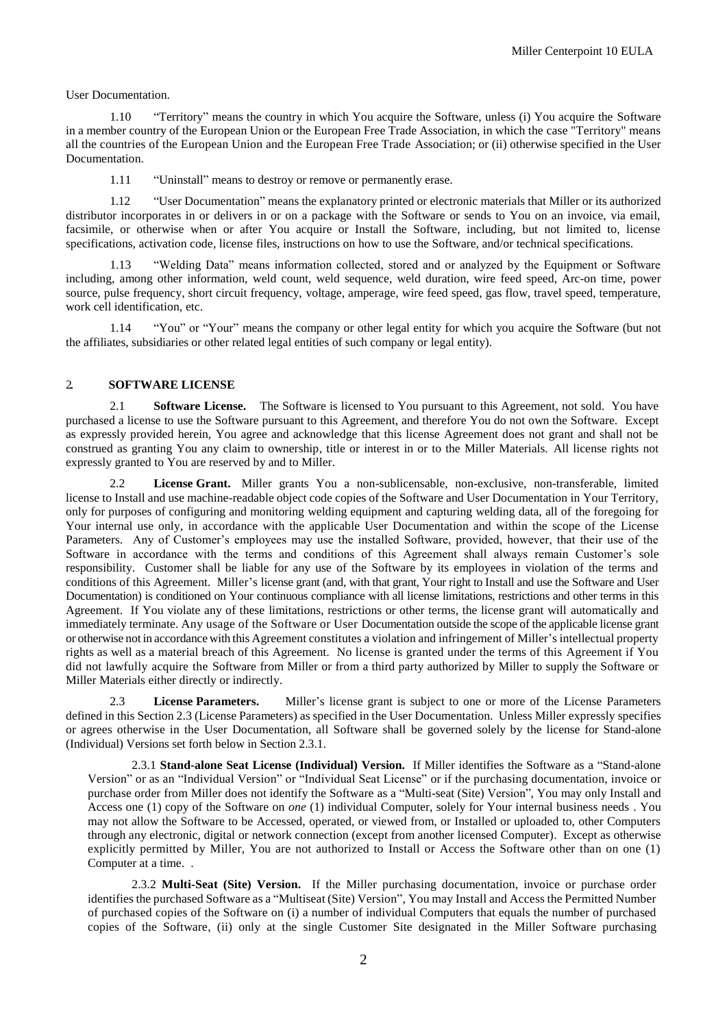User Documentation.

1.10 "Territory" means the country in which You acquire the Software, unless (i) You acquire the Software in a member country of the European Union or the European Free Trade Association, in which the case "Territory" means all the countries of the European Union and the European Free Trade Association; or (ii) otherwise specified in the User Documentation.

1.11 "Uninstall" means to destroy or remove or permanently erase.

1.12 "User Documentation" means the explanatory printed or electronic materials that Miller or its authorized distributor incorporates in or delivers in or on a package with the Software or sends to You on an invoice, via email, facsimile, or otherwise when or after You acquire or Install the Software, including, but not limited to, license specifications, activation code, license files, instructions on how to use the Software, and/or technical specifications.

1.13 "Welding Data" means information collected, stored and or analyzed by the Equipment or Software including, among other information, weld count, weld sequence, weld duration, wire feed speed, Arc-on time, power source, pulse frequency, short circuit frequency, voltage, amperage, wire feed speed, gas flow, travel speed, temperature, work cell identification, etc.

1.14 "You" or "Your" means the company or other legal entity for which you acquire the Software (but not the affiliates, subsidiaries or other related legal entities of such company or legal entity).

### 2.. **SOFTWARE LICENSE**

2.1 **Software License.** The Software is licensed to You pursuant to this Agreement, not sold. You have purchased a license to use the Software pursuant to this Agreement, and therefore You do not own the Software. Except as expressly provided herein, You agree and acknowledge that this license Agreement does not grant and shall not be construed as granting You any claim to ownership, title or interest in or to the Miller Materials. All license rights not expressly granted to You are reserved by and to Miller.

2.2 **License Grant.** Miller grants You a non-sublicensable, non-exclusive, non-transferable, limited license to Install and use machine-readable object code copies of the Software and User Documentation in Your Territory, only for purposes of configuring and monitoring welding equipment and capturing welding data, all of the foregoing for Your internal use only, in accordance with the applicable User Documentation and within the scope of the License Parameters. Any of Customer's employees may use the installed Software, provided, however, that their use of the Software in accordance with the terms and conditions of this Agreement shall always remain Customer's sole responsibility. Customer shall be liable for any use of the Software by its employees in violation of the terms and conditions of this Agreement. Miller's license grant (and, with that grant, Your right to Install and use the Software and User Documentation) is conditioned on Your continuous compliance with all license limitations, restrictions and other terms in this Agreement. If You violate any of these limitations, restrictions or other terms, the license grant will automatically and immediately terminate. Any usage of the Software or User Documentation outside the scope of the applicable license grant or otherwise not in accordance with this Agreement constitutes a violation and infringement of Miller's intellectual property rights as well as a material breach of this Agreement. No license is granted under the terms of this Agreement if You did not lawfully acquire the Software from Miller or from a third party authorized by Miller to supply the Software or Miller Materials either directly or indirectly.

2.3 **License Parameters.** Miller's license grant is subject to one or more of the License Parameters defined in this Section 2.3 (License Parameters) as specified in the User Documentation. Unless Miller expressly specifies or agrees otherwise in the User Documentation, all Software shall be governed solely by the license for Stand-alone (Individual) Versions set forth below in Section 2.3.1.

2.3.1 **Stand-alone Seat License (Individual) Version.** If Miller identifies the Software as a "Stand-alone Version" or as an "Individual Version" or "Individual Seat License" or if the purchasing documentation, invoice or purchase order from Miller does not identify the Software as a "Multi-seat (Site) Version", You may only Install and Access one (1) copy of the Software on *one* (1) individual Computer, solely for Your internal business needs . You may not allow the Software to be Accessed, operated, or viewed from, or Installed or uploaded to, other Computers through any electronic, digital or network connection (except from another licensed Computer). Except as otherwise explicitly permitted by Miller, You are not authorized to Install or Access the Software other than on one (1) Computer at a time. .

2.3.2 **Multi-Seat (Site) Version.** If the Miller purchasing documentation, invoice or purchase order identifies the purchased Software as a "Multiseat (Site) Version", You may Install and Access the Permitted Number of purchased copies of the Software on (i) a number of individual Computers that equals the number of purchased copies of the Software, (ii) only at the single Customer Site designated in the Miller Software purchasing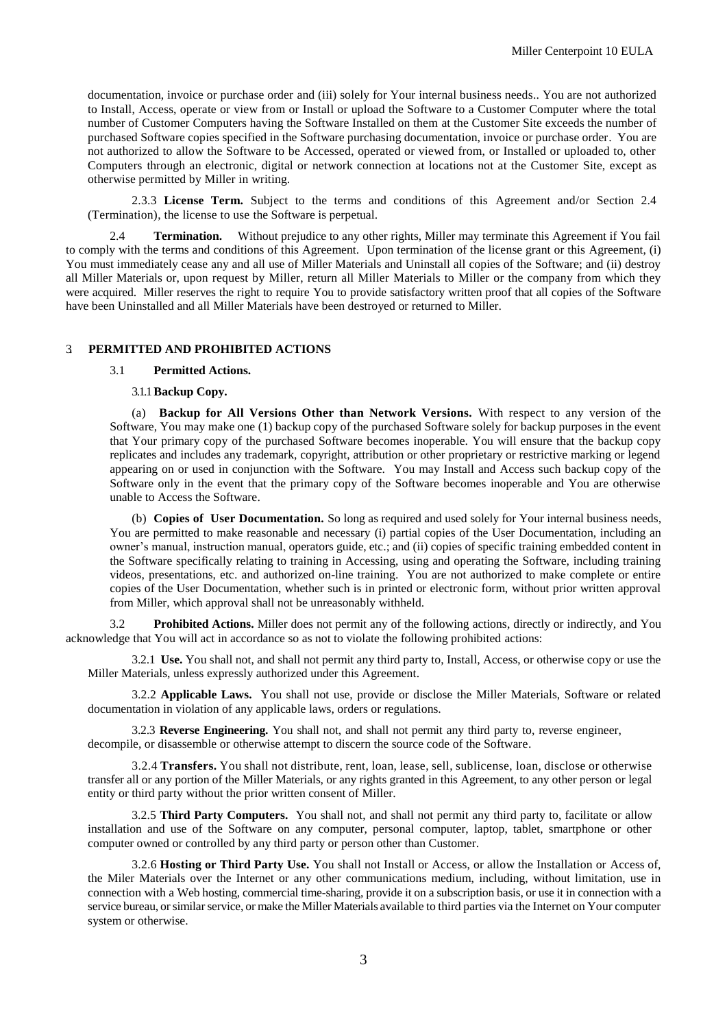documentation, invoice or purchase order and (iii) solely for Your internal business needs.. You are not authorized to Install, Access, operate or view from or Install or upload the Software to a Customer Computer where the total number of Customer Computers having the Software Installed on them at the Customer Site exceeds the number of purchased Software copies specified in the Software purchasing documentation, invoice or purchase order. You are not authorized to allow the Software to be Accessed, operated or viewed from, or Installed or uploaded to, other Computers through an electronic, digital or network connection at locations not at the Customer Site, except as otherwise permitted by Miller in writing.

2.3.3 **License Term.** Subject to the terms and conditions of this Agreement and/or Section 2.4 (Termination), the license to use the Software is perpetual.

2.4 **Termination.** Without prejudice to any other rights, Miller may terminate this Agreement if You fail to comply with the terms and conditions of this Agreement. Upon termination of the license grant or this Agreement, (i) You must immediately cease any and all use of Miller Materials and Uninstall all copies of the Software; and (ii) destroy all Miller Materials or, upon request by Miller, return all Miller Materials to Miller or the company from which they were acquired. Miller reserves the right to require You to provide satisfactory written proof that all copies of the Software have been Uninstalled and all Miller Materials have been destroyed or returned to Miller.

## 3. **PERMITTED AND PROHIBITED ACTIONS**

#### 3.1 **Permitted Actions.**

#### 3.1.1**Backup Copy.**

(a) **Backup for All Versions Other than Network Versions.** With respect to any version of the Software, You may make one (1) backup copy of the purchased Software solely for backup purposes in the event that Your primary copy of the purchased Software becomes inoperable. You will ensure that the backup copy replicates and includes any trademark, copyright, attribution or other proprietary or restrictive marking or legend appearing on or used in conjunction with the Software. You may Install and Access such backup copy of the Software only in the event that the primary copy of the Software becomes inoperable and You are otherwise unable to Access the Software.

(b) **Copies of User Documentation.** So long as required and used solely for Your internal business needs, You are permitted to make reasonable and necessary (i) partial copies of the User Documentation, including an owner's manual, instruction manual, operators guide, etc.; and (ii) copies of specific training embedded content in the Software specifically relating to training in Accessing, using and operating the Software, including training videos, presentations, etc. and authorized on-line training. You are not authorized to make complete or entire copies of the User Documentation, whether such is in printed or electronic form, without prior written approval from Miller, which approval shall not be unreasonably withheld.

3.2 **Prohibited Actions.** Miller does not permit any of the following actions, directly or indirectly, and You acknowledge that You will act in accordance so as not to violate the following prohibited actions:

3.2.1 **Use.** You shall not, and shall not permit any third party to, Install, Access, or otherwise copy or use the Miller Materials, unless expressly authorized under this Agreement.

3.2.2 **Applicable Laws.** You shall not use, provide or disclose the Miller Materials, Software or related documentation in violation of any applicable laws, orders or regulations.

3.2.3 **Reverse Engineering.** You shall not, and shall not permit any third party to, reverse engineer, decompile, or disassemble or otherwise attempt to discern the source code of the Software.

3.2.4 **Transfers.** You shall not distribute, rent, loan, lease, sell, sublicense, loan, disclose or otherwise transfer all or any portion of the Miller Materials, or any rights granted in this Agreement, to any other person or legal entity or third party without the prior written consent of Miller.

3.2.5 **Third Party Computers.** You shall not, and shall not permit any third party to, facilitate or allow installation and use of the Software on any computer, personal computer, laptop, tablet, smartphone or other computer owned or controlled by any third party or person other than Customer.

3.2.6 **Hosting or Third Party Use.** You shall not Install or Access, or allow the Installation or Access of, the Miler Materials over the Internet or any other communications medium, including, without limitation, use in connection with a Web hosting, commercial time-sharing, provide it on a subscription basis, or use it in connection with a service bureau, or similar service, or make the Miller Materials available to third parties via the Internet on Your computer system or otherwise.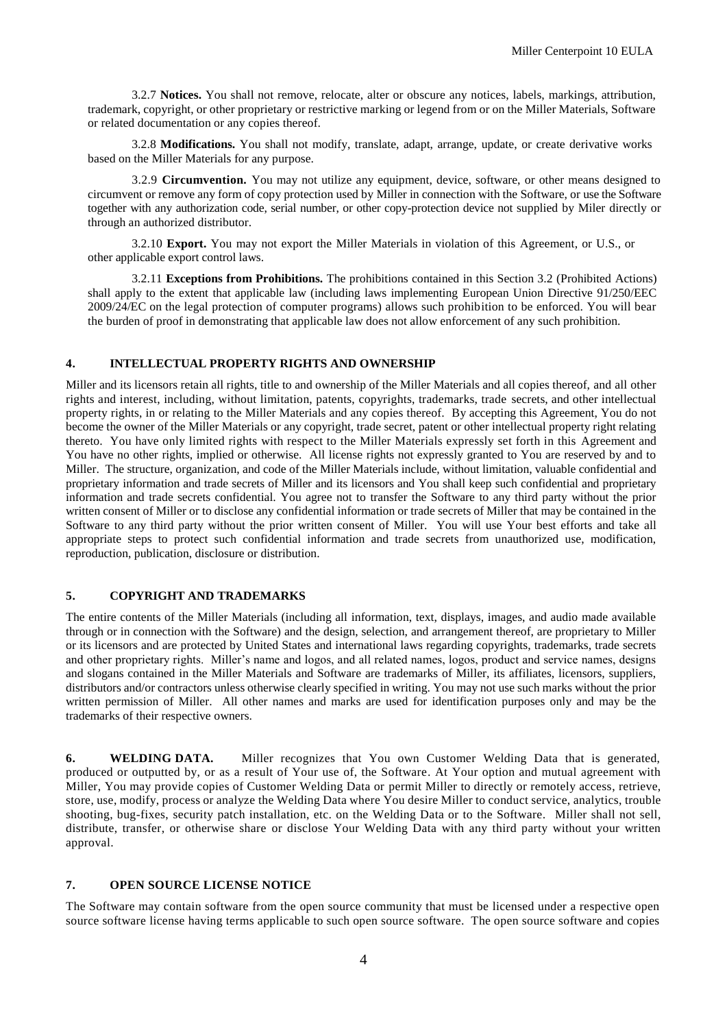3.2.7 **Notices.** You shall not remove, relocate, alter or obscure any notices, labels, markings, attribution, trademark, copyright, or other proprietary or restrictive marking or legend from or on the Miller Materials, Software or related documentation or any copies thereof.

3.2.8 **Modifications.** You shall not modify, translate, adapt, arrange, update, or create derivative works based on the Miller Materials for any purpose.

3.2.9 **Circumvention.** You may not utilize any equipment, device, software, or other means designed to circumvent or remove any form of copy protection used by Miller in connection with the Software, or use the Software together with any authorization code, serial number, or other copy-protection device not supplied by Miler directly or through an authorized distributor.

3.2.10 **Export.** You may not export the Miller Materials in violation of this Agreement, or U.S., or other applicable export control laws.

3.2.11 **Exceptions from Prohibitions.** The prohibitions contained in this Section 3.2 (Prohibited Actions) shall apply to the extent that applicable law (including laws implementing European Union Directive 91/250/EEC 2009/24/EC on the legal protection of computer programs) allows such prohibition to be enforced. You will bear the burden of proof in demonstrating that applicable law does not allow enforcement of any such prohibition.

## **4. INTELLECTUAL PROPERTY RIGHTS AND OWNERSHIP**

Miller and its licensors retain all rights, title to and ownership of the Miller Materials and all copies thereof, and all other rights and interest, including, without limitation, patents, copyrights, trademarks, trade secrets, and other intellectual property rights, in or relating to the Miller Materials and any copies thereof. By accepting this Agreement, You do not become the owner of the Miller Materials or any copyright, trade secret, patent or other intellectual property right relating thereto. You have only limited rights with respect to the Miller Materials expressly set forth in this Agreement and You have no other rights, implied or otherwise. All license rights not expressly granted to You are reserved by and to Miller. The structure, organization, and code of the Miller Materials include, without limitation, valuable confidential and proprietary information and trade secrets of Miller and its licensors and You shall keep such confidential and proprietary information and trade secrets confidential. You agree not to transfer the Software to any third party without the prior written consent of Miller or to disclose any confidential information or trade secrets of Miller that may be contained in the Software to any third party without the prior written consent of Miller. You will use Your best efforts and take all appropriate steps to protect such confidential information and trade secrets from unauthorized use, modification, reproduction, publication, disclosure or distribution.

### **5. COPYRIGHT AND TRADEMARKS**

The entire contents of the Miller Materials (including all information, text, displays, images, and audio made available through or in connection with the Software) and the design, selection, and arrangement thereof, are proprietary to Miller or its licensors and are protected by United States and international laws regarding copyrights, trademarks, trade secrets and other proprietary rights. Miller's name and logos, and all related names, logos, product and service names, designs and slogans contained in the Miller Materials and Software are trademarks of Miller, its affiliates, licensors, suppliers, distributors and/or contractors unless otherwise clearly specified in writing. You may not use such marks without the prior written permission of Miller. All other names and marks are used for identification purposes only and may be the trademarks of their respective owners.

**6. WELDING DATA.** Miller recognizes that You own Customer Welding Data that is generated, produced or outputted by, or as a result of Your use of, the Software. At Your option and mutual agreement with Miller, You may provide copies of Customer Welding Data or permit Miller to directly or remotely access, retrieve, store, use, modify, process or analyze the Welding Data where You desire Miller to conduct service, analytics, trouble shooting, bug-fixes, security patch installation, etc. on the Welding Data or to the Software. Miller shall not sell, distribute, transfer, or otherwise share or disclose Your Welding Data with any third party without your written approval.

### **7. OPEN SOURCE LICENSE NOTICE**

The Software may contain software from the open source community that must be licensed under a respective open source software license having terms applicable to such open source software. The open source software and copies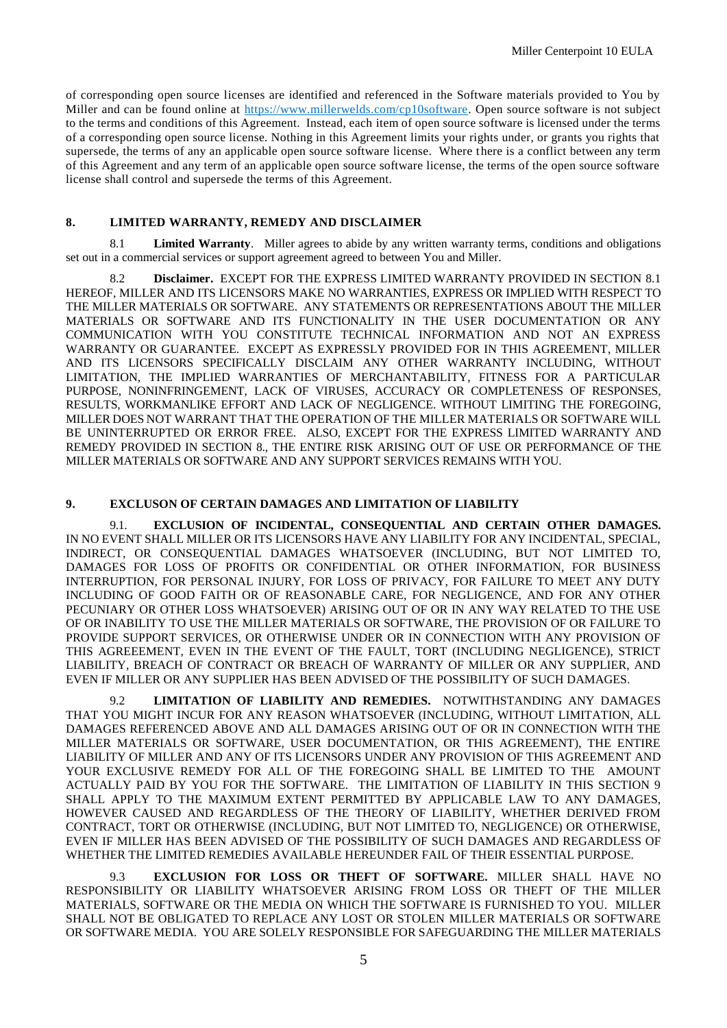of corresponding open source licenses are identified and referenced in the Software materials provided to You by Miller and can be found online at https://www.millerwelds.com/cp10software. Open source software is not subject to the terms and conditions of this Agreement. Instead, each item of open source software is licensed under the terms of a corresponding open source license. Nothing in this Agreement limits your rights under, or grants you rights that supersede, the terms of any an applicable open source software license. Where there is a conflict between any term of this Agreement and any term of an applicable open source software license, the terms of the open source software license shall control and supersede the terms of this Agreement.

# **8. LIMITED WARRANTY, REMEDY AND DISCLAIMER**

**Limited Warranty.** Miller agrees to abide by any written warranty terms, conditions and obligations set out in a commercial services or support agreement agreed to between You and Miller.

8.2 **Disclaimer.** EXCEPT FOR THE EXPRESS LIMITED WARRANTY PROVIDED IN SECTION 8.1 HEREOF, MILLER AND ITS LICENSORS MAKE NO WARRANTIES, EXPRESS OR IMPLIED WITH RESPECT TO THE MILLER MATERIALS OR SOFTWARE. ANY STATEMENTS OR REPRESENTATIONS ABOUT THE MILLER MATERIALS OR SOFTWARE AND ITS FUNCTIONALITY IN THE USER DOCUMENTATION OR ANY COMMUNICATION WITH YOU CONSTITUTE TECHNICAL INFORMATION AND NOT AN EXPRESS WARRANTY OR GUARANTEE. EXCEPT AS EXPRESSLY PROVIDED FOR IN THIS AGREEMENT, MILLER AND ITS LICENSORS SPECIFICALLY DISCLAIM ANY OTHER WARRANTY INCLUDING, WITHOUT LIMITATION, THE IMPLIED WARRANTIES OF MERCHANTABILITY, FITNESS FOR A PARTICULAR PURPOSE, NONINFRINGEMENT, LACK OF VIRUSES, ACCURACY OR COMPLETENESS OF RESPONSES, RESULTS, WORKMANLIKE EFFORT AND LACK OF NEGLIGENCE. WITHOUT LIMITING THE FOREGOING, MILLER DOES NOT WARRANT THAT THE OPERATION OF THE MILLER MATERIALS OR SOFTWARE WILL BE UNINTERRUPTED OR ERROR FREE. ALSO, EXCEPT FOR THE EXPRESS LIMITED WARRANTY AND REMEDY PROVIDED IN SECTION 8., THE ENTIRE RISK ARISING OUT OF USE OR PERFORMANCE OF THE MILLER MATERIALS OR SOFTWARE AND ANY SUPPORT SERVICES REMAINS WITH YOU.

## **9. EXCLUSON OF CERTAIN DAMAGES AND LIMITATION OF LIABILITY**

9.1. **EXCLUSION OF INCIDENTAL, CONSEQUENTIAL AND CERTAIN OTHER DAMAGES.** IN NO EVENT SHALL MILLER OR ITS LICENSORS HAVE ANY LIABILITY FOR ANY INCIDENTAL, SPECIAL, INDIRECT, OR CONSEQUENTIAL DAMAGES WHATSOEVER (INCLUDING, BUT NOT LIMITED TO, DAMAGES FOR LOSS OF PROFITS OR CONFIDENTIAL OR OTHER INFORMATION, FOR BUSINESS INTERRUPTION, FOR PERSONAL INJURY, FOR LOSS OF PRIVACY, FOR FAILURE TO MEET ANY DUTY INCLUDING OF GOOD FAITH OR OF REASONABLE CARE, FOR NEGLIGENCE, AND FOR ANY OTHER PECUNIARY OR OTHER LOSS WHATSOEVER) ARISING OUT OF OR IN ANY WAY RELATED TO THE USE OF OR INABILITY TO USE THE MILLER MATERIALS OR SOFTWARE, THE PROVISION OF OR FAILURE TO PROVIDE SUPPORT SERVICES, OR OTHERWISE UNDER OR IN CONNECTION WITH ANY PROVISION OF THIS AGREEEMENT, EVEN IN THE EVENT OF THE FAULT, TORT (INCLUDING NEGLIGENCE), STRICT LIABILITY, BREACH OF CONTRACT OR BREACH OF WARRANTY OF MILLER OR ANY SUPPLIER, AND EVEN IF MILLER OR ANY SUPPLIER HAS BEEN ADVISED OF THE POSSIBILITY OF SUCH DAMAGES.

9.2 **LIMITATION OF LIABILITY AND REMEDIES.** NOTWITHSTANDING ANY DAMAGES THAT YOU MIGHT INCUR FOR ANY REASON WHATSOEVER (INCLUDING, WITHOUT LIMITATION, ALL DAMAGES REFERENCED ABOVE AND ALL DAMAGES ARISING OUT OF OR IN CONNECTION WITH THE MILLER MATERIALS OR SOFTWARE, USER DOCUMENTATION, OR THIS AGREEMENT), THE ENTIRE LIABILITY OF MILLER AND ANY OF ITS LICENSORS UNDER ANY PROVISION OF THIS AGREEMENT AND YOUR EXCLUSIVE REMEDY FOR ALL OF THE FOREGOING SHALL BE LIMITED TO THE AMOUNT ACTUALLY PAID BY YOU FOR THE SOFTWARE. THE LIMITATION OF LIABILITY IN THIS SECTION 9 SHALL APPLY TO THE MAXIMUM EXTENT PERMITTED BY APPLICABLE LAW TO ANY DAMAGES, HOWEVER CAUSED AND REGARDLESS OF THE THEORY OF LIABILITY, WHETHER DERIVED FROM CONTRACT, TORT OR OTHERWISE (INCLUDING, BUT NOT LIMITED TO, NEGLIGENCE) OR OTHERWISE, EVEN IF MILLER HAS BEEN ADVISED OF THE POSSIBILITY OF SUCH DAMAGES AND REGARDLESS OF WHETHER THE LIMITED REMEDIES AVAILABLE HEREUNDER FAIL OF THEIR ESSENTIAL PURPOSE.

9.3 **EXCLUSION FOR LOSS OR THEFT OF SOFTWARE.** MILLER SHALL HAVE NO RESPONSIBILITY OR LIABILITY WHATSOEVER ARISING FROM LOSS OR THEFT OF THE MILLER MATERIALS, SOFTWARE OR THE MEDIA ON WHICH THE SOFTWARE IS FURNISHED TO YOU. MILLER SHALL NOT BE OBLIGATED TO REPLACE ANY LOST OR STOLEN MILLER MATERIALS OR SOFTWARE OR SOFTWARE MEDIA. YOU ARE SOLELY RESPONSIBLE FOR SAFEGUARDING THE MILLER MATERIALS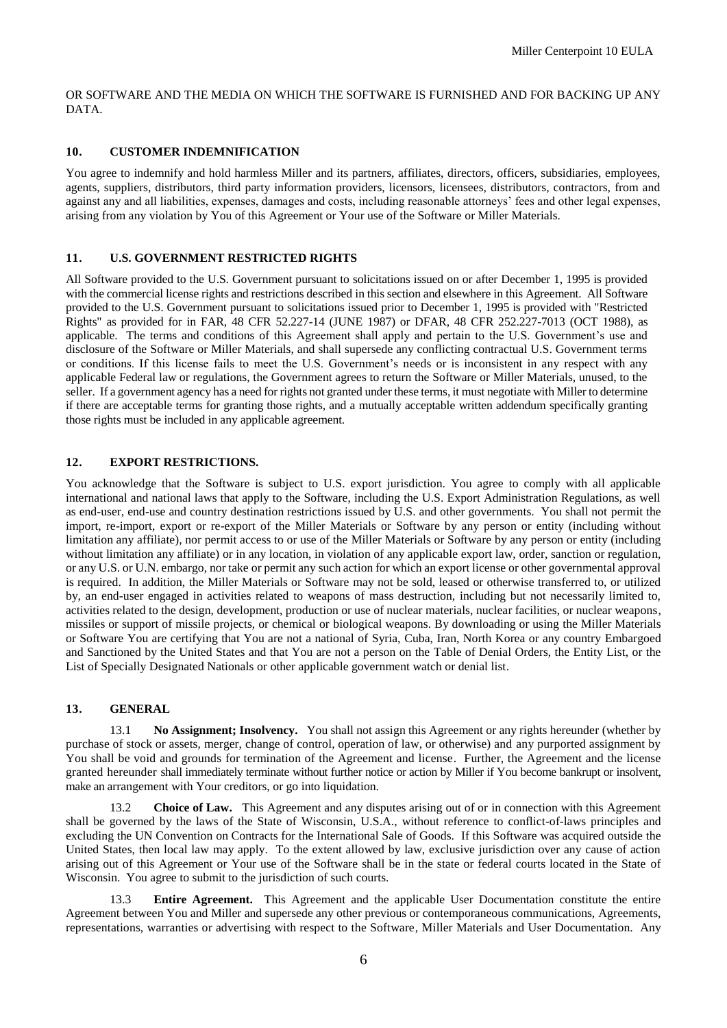OR SOFTWARE AND THE MEDIA ON WHICH THE SOFTWARE IS FURNISHED AND FOR BACKING UP ANY DATA.

### **10. CUSTOMER INDEMNIFICATION**

You agree to indemnify and hold harmless Miller and its partners, affiliates, directors, officers, subsidiaries, employees, agents, suppliers, distributors, third party information providers, licensors, licensees, distributors, contractors, from and against any and all liabilities, expenses, damages and costs, including reasonable attorneys' fees and other legal expenses, arising from any violation by You of this Agreement or Your use of the Software or Miller Materials.

## **11. U.S. GOVERNMENT RESTRICTED RIGHTS**

All Software provided to the U.S. Government pursuant to solicitations issued on or after December 1, 1995 is provided with the commercial license rights and restrictions described in this section and elsewhere in this Agreement. All Software provided to the U.S. Government pursuant to solicitations issued prior to December 1, 1995 is provided with "Restricted Rights" as provided for in FAR, 48 CFR 52.227-14 (JUNE 1987) or DFAR, 48 CFR 252.227-7013 (OCT 1988), as applicable. The terms and conditions of this Agreement shall apply and pertain to the U.S. Government's use and disclosure of the Software or Miller Materials, and shall supersede any conflicting contractual U.S. Government terms or conditions. If this license fails to meet the U.S. Government's needs or is inconsistent in any respect with any applicable Federal law or regulations, the Government agrees to return the Software or Miller Materials, unused, to the seller. If a government agency has a need for rights not granted under these terms, it must negotiate with Miller to determine if there are acceptable terms for granting those rights, and a mutually acceptable written addendum specifically granting those rights must be included in any applicable agreement.

# **12. EXPORT RESTRICTIONS.**

You acknowledge that the Software is subject to U.S. export jurisdiction. You agree to comply with all applicable international and national laws that apply to the Software, including the U.S. Export Administration Regulations, as well as end-user, end-use and country destination restrictions issued by U.S. and other governments. You shall not permit the import, re-import, export or re-export of the Miller Materials or Software by any person or entity (including without limitation any affiliate), nor permit access to or use of the Miller Materials or Software by any person or entity (including without limitation any affiliate) or in any location, in violation of any applicable export law, order, sanction or regulation, or any U.S. or U.N. embargo, nor take or permit any such action for which an export license or other governmental approval is required. In addition, the Miller Materials or Software may not be sold, leased or otherwise transferred to, or utilized by, an end-user engaged in activities related to weapons of mass destruction, including but not necessarily limited to, activities related to the design, development, production or use of nuclear materials, nuclear facilities, or nuclear weapons, missiles or support of missile projects, or chemical or biological weapons. By downloading or using the Miller Materials or Software You are certifying that You are not a national of Syria, Cuba, Iran, North Korea or any country Embargoed and Sanctioned by the United States and that You are not a person on the Table of Denial Orders, the Entity List, or the List of Specially Designated Nationals or other applicable government watch or denial list.

### **13. GENERAL**

13.1 **No Assignment; Insolvency.** You shall not assign this Agreement or any rights hereunder (whether by purchase of stock or assets, merger, change of control, operation of law, or otherwise) and any purported assignment by You shall be void and grounds for termination of the Agreement and license. Further, the Agreement and the license granted hereunder shall immediately terminate without further notice or action by Miller if You become bankrupt or insolvent, make an arrangement with Your creditors, or go into liquidation.

13.2 **Choice of Law.** This Agreement and any disputes arising out of or in connection with this Agreement shall be governed by the laws of the State of Wisconsin, U.S.A., without reference to conflict-of-laws principles and excluding the UN Convention on Contracts for the International Sale of Goods. If this Software was acquired outside the United States, then local law may apply. To the extent allowed by law, exclusive jurisdiction over any cause of action arising out of this Agreement or Your use of the Software shall be in the state or federal courts located in the State of Wisconsin. You agree to submit to the jurisdiction of such courts.

13.3 **Entire Agreement.** This Agreement and the applicable User Documentation constitute the entire Agreement between You and Miller and supersede any other previous or contemporaneous communications, Agreements, representations, warranties or advertising with respect to the Software, Miller Materials and User Documentation. Any